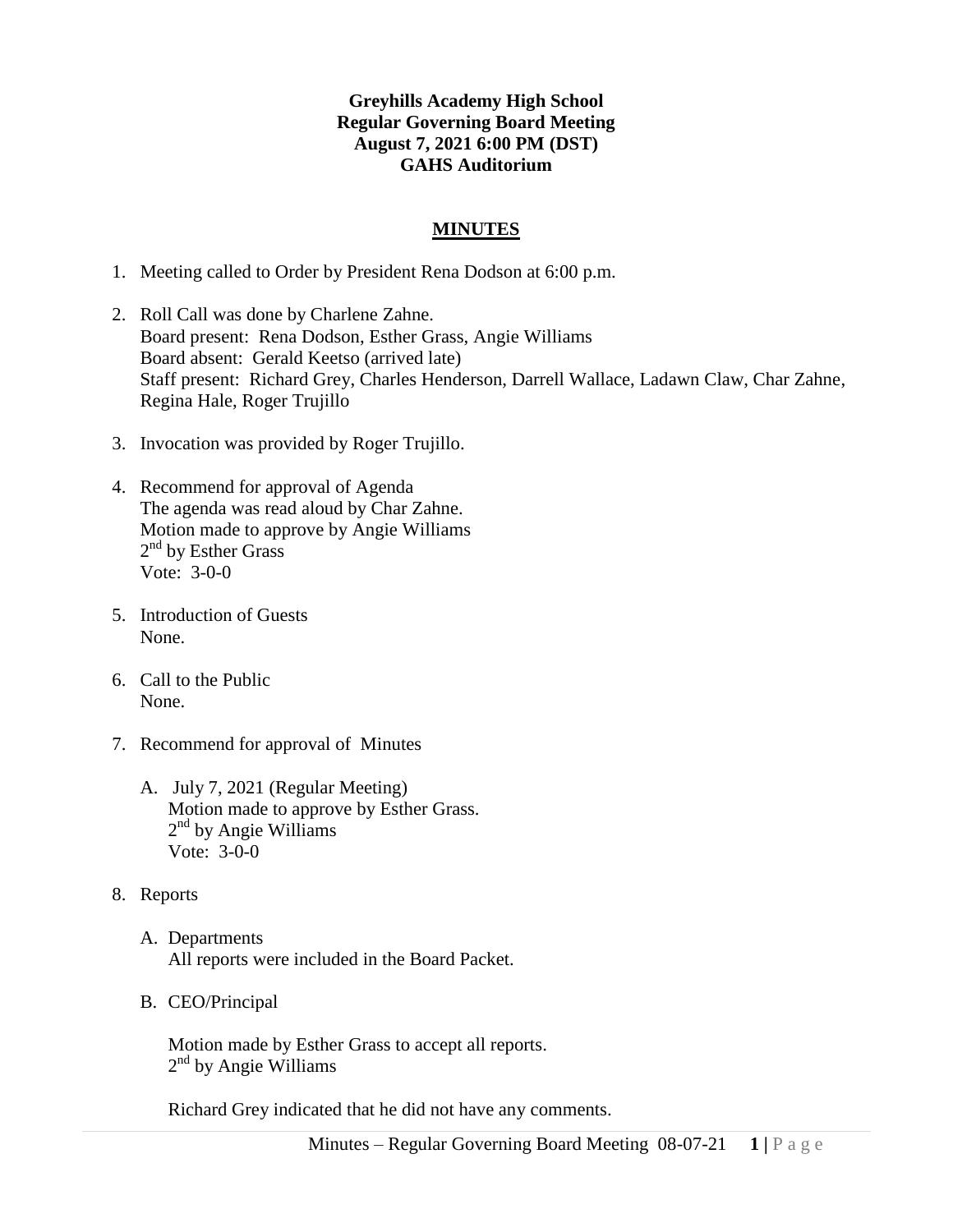## **Greyhills Academy High School Regular Governing Board Meeting August 7, 2021 6:00 PM (DST) GAHS Auditorium**

## **MINUTES**

- 1. Meeting called to Order by President Rena Dodson at 6:00 p.m.
- 2. Roll Call was done by Charlene Zahne. Board present: Rena Dodson, Esther Grass, Angie Williams Board absent: Gerald Keetso (arrived late) Staff present: Richard Grey, Charles Henderson, Darrell Wallace, Ladawn Claw, Char Zahne, Regina Hale, Roger Trujillo
- 3. Invocation was provided by Roger Trujillo.
- 4. Recommend for approval of Agenda The agenda was read aloud by Char Zahne. Motion made to approve by Angie Williams  $2<sup>nd</sup>$  by Esther Grass Vote: 3-0-0
- 5. Introduction of Guests None.
- 6. Call to the Public None.
- 7. Recommend for approval of Minutes
	- A. July 7, 2021 (Regular Meeting) Motion made to approve by Esther Grass. 2<sup>nd</sup> by Angie Williams Vote: 3-0-0
- 8. Reports
	- A. Departments All reports were included in the Board Packet.
	- B. CEO/Principal

Motion made by Esther Grass to accept all reports. 2<sup>nd</sup> by Angie Williams

Richard Grey indicated that he did not have any comments.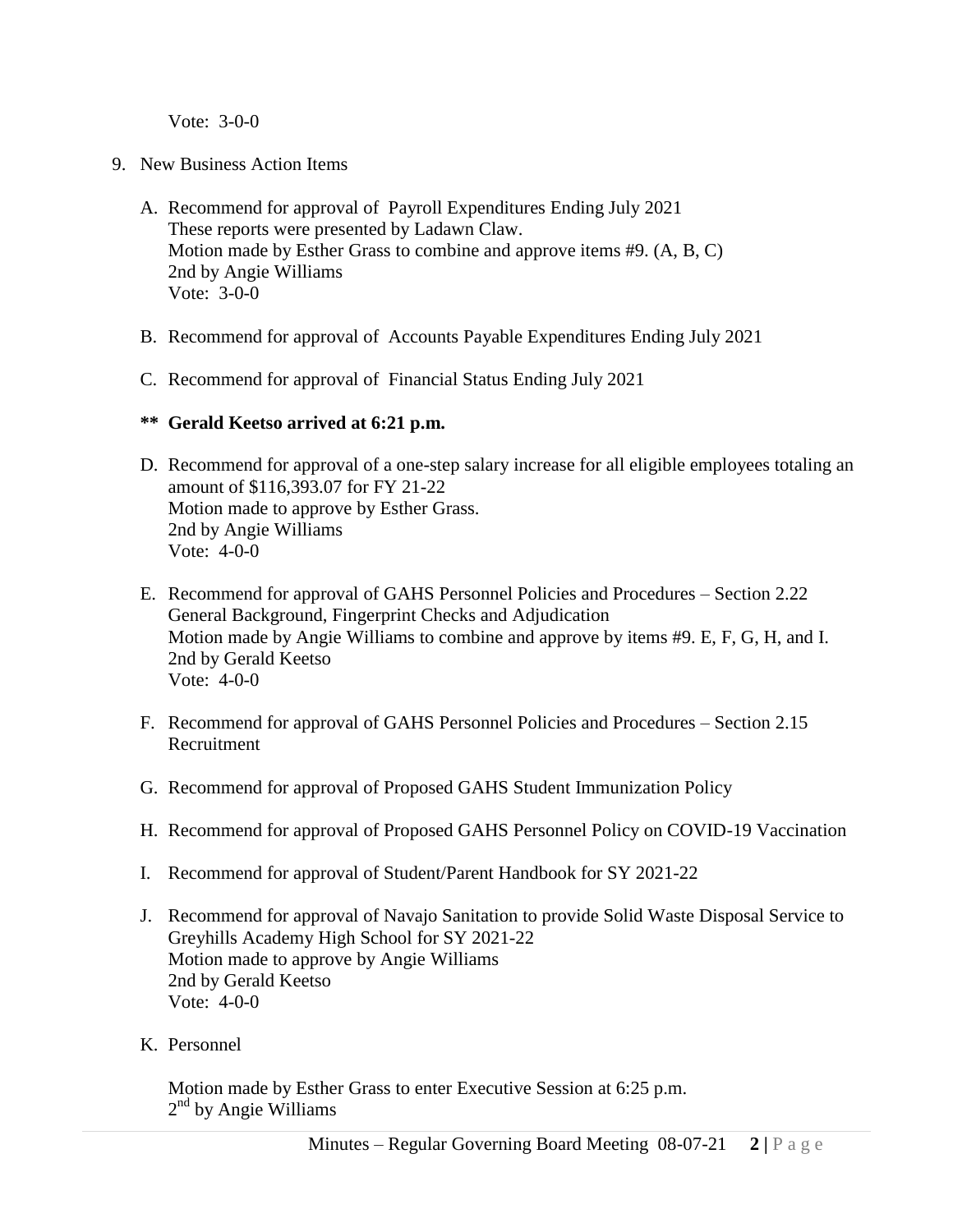Vote: 3-0-0

- 9. New Business Action Items
	- A. Recommend for approval of Payroll Expenditures Ending July 2021 These reports were presented by Ladawn Claw. Motion made by Esther Grass to combine and approve items #9. (A, B, C) 2nd by Angie Williams Vote: 3-0-0
	- B. Recommend for approval of Accounts Payable Expenditures Ending July 2021
	- C. Recommend for approval of Financial Status Ending July 2021
	- **\*\* Gerald Keetso arrived at 6:21 p.m.**
	- D. Recommend for approval of a one-step salary increase for all eligible employees totaling an amount of \$116,393.07 for FY 21-22 Motion made to approve by Esther Grass. 2nd by Angie Williams Vote: 4-0-0
	- E. Recommend for approval of GAHS Personnel Policies and Procedures Section 2.22 General Background, Fingerprint Checks and Adjudication Motion made by Angie Williams to combine and approve by items #9. E, F, G, H, and I. 2nd by Gerald Keetso Vote: 4-0-0
	- F. Recommend for approval of GAHS Personnel Policies and Procedures Section 2.15 Recruitment
	- G. Recommend for approval of Proposed GAHS Student Immunization Policy
	- H. Recommend for approval of Proposed GAHS Personnel Policy on COVID-19 Vaccination
	- I. Recommend for approval of Student/Parent Handbook for SY 2021-22
	- J. Recommend for approval of Navajo Sanitation to provide Solid Waste Disposal Service to Greyhills Academy High School for SY 2021-22 Motion made to approve by Angie Williams 2nd by Gerald Keetso Vote: 4-0-0
	- K. Personnel

Motion made by Esther Grass to enter Executive Session at 6:25 p.m. 2<sup>nd</sup> by Angie Williams